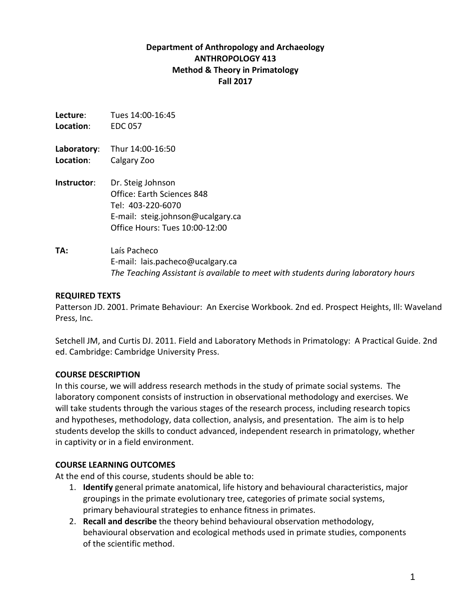# **Department of Anthropology and Archaeology ANTHROPOLOGY 413 Method & Theory in Primatology Fall 2017**

| Lecture:    | Tues 14:00-16:45                                                                                                                            |
|-------------|---------------------------------------------------------------------------------------------------------------------------------------------|
| Location:   | <b>EDC 057</b>                                                                                                                              |
| Laboratory: | Thur 14:00-16:50                                                                                                                            |
| Location:   | Calgary Zoo                                                                                                                                 |
| Instructor: | Dr. Steig Johnson<br>Office: Earth Sciences 848<br>Tel: 403-220-6070<br>E-mail: steig.johnson@ucalgary.ca<br>Office Hours: Tues 10:00-12:00 |
| TA:         | Laís Pacheco<br>E-mail: lais.pacheco@ucalgary.ca<br>The Teaching Assistant is available to meet with students during laboratory hours       |

### **REQUIRED TEXTS**

Patterson JD. 2001. Primate Behaviour: An Exercise Workbook. 2nd ed. Prospect Heights, Ill: Waveland Press, Inc.

Setchell JM, and Curtis DJ. 2011. Field and Laboratory Methods in Primatology: A Practical Guide. 2nd ed. Cambridge: Cambridge University Press.

### **COURSE DESCRIPTION**

In this course, we will address research methods in the study of primate social systems. The laboratory component consists of instruction in observational methodology and exercises. We will take students through the various stages of the research process, including research topics and hypotheses, methodology, data collection, analysis, and presentation. The aim is to help students develop the skills to conduct advanced, independent research in primatology, whether in captivity or in a field environment.

### **COURSE LEARNING OUTCOMES**

At the end of this course, students should be able to:

- 1. **Identify** general primate anatomical, life history and behavioural characteristics, major groupings in the primate evolutionary tree, categories of primate social systems, primary behavioural strategies to enhance fitness in primates.
- 2. **Recall and describe** the theory behind behavioural observation methodology, behavioural observation and ecological methods used in primate studies, components of the scientific method.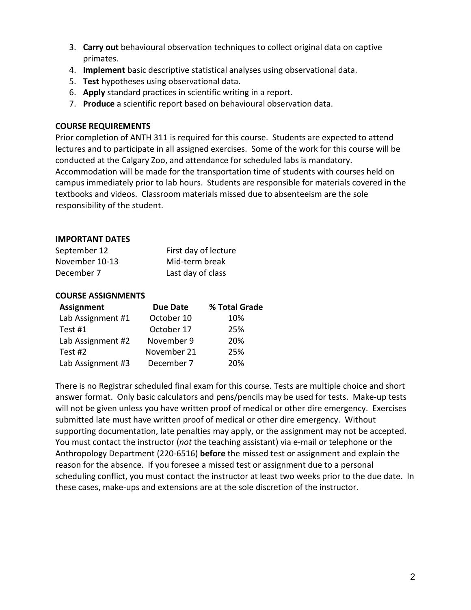- 3. **Carry out** behavioural observation techniques to collect original data on captive primates.
- 4. **Implement** basic descriptive statistical analyses using observational data.
- 5. **Test** hypotheses using observational data.
- 6. **Apply** standard practices in scientific writing in a report.
- 7. **Produce** a scientific report based on behavioural observation data.

### **COURSE REQUIREMENTS**

Prior completion of ANTH 311 is required for this course. Students are expected to attend lectures and to participate in all assigned exercises. Some of the work for this course will be conducted at the Calgary Zoo, and attendance for scheduled labs is mandatory. Accommodation will be made for the transportation time of students with courses held on campus immediately prior to lab hours. Students are responsible for materials covered in the textbooks and videos. Classroom materials missed due to absenteeism are the sole responsibility of the student.

### **IMPORTANT DATES**

| September 12   | First day of lecture |
|----------------|----------------------|
| November 10-13 | Mid-term break       |
| December 7     | Last day of class    |

#### **COURSE ASSIGNMENTS**

| <b>Assignment</b> | <b>Due Date</b> | % Total Grade |  |
|-------------------|-----------------|---------------|--|
| Lab Assignment #1 | October 10      | 10%           |  |
| Test #1           | October 17      | 25%           |  |
| Lab Assignment #2 | November 9      | 20%           |  |
| Test #2           | November 21     | 25%           |  |
| Lab Assignment #3 | December 7      | 20%           |  |

There is no Registrar scheduled final exam for this course. Tests are multiple choice and short answer format. Only basic calculators and pens/pencils may be used for tests. Make-up tests will not be given unless you have written proof of medical or other dire emergency. Exercises submitted late must have written proof of medical or other dire emergency. Without supporting documentation, late penalties may apply, or the assignment may not be accepted. You must contact the instructor (*not* the teaching assistant) via e-mail or telephone or the Anthropology Department (220-6516) **before** the missed test or assignment and explain the reason for the absence. If you foresee a missed test or assignment due to a personal scheduling conflict, you must contact the instructor at least two weeks prior to the due date. In these cases, make-ups and extensions are at the sole discretion of the instructor.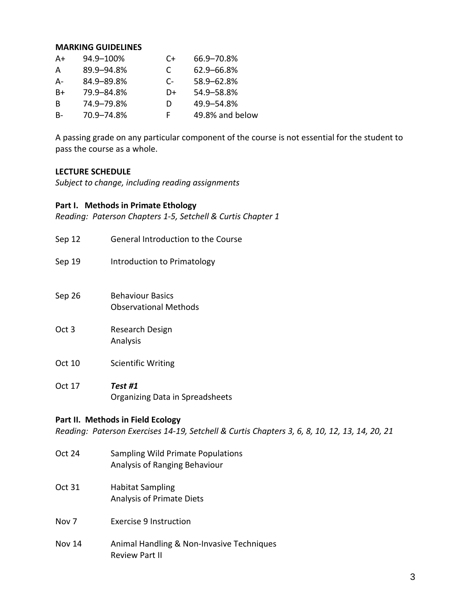#### **MARKING GUIDELINES**

| A+  | 94.9-100%  | C+   | 66.9-70.8%      |
|-----|------------|------|-----------------|
| A   | 89.9-94.8% | C    | 62.9-66.8%      |
| А-  | 84.9-89.8% | $C-$ | 58.9 - 62.8%    |
| B+  | 79.9-84.8% | D+   | 54.9-58.8%      |
| B   | 74.9–79.8% | D    | 49.9-54.8%      |
| - B | 70.9-74.8% | F    | 49.8% and below |

A passing grade on any particular component of the course is not essential for the student to pass the course as a whole.

### **LECTURE SCHEDULE**

*Subject to change, including reading assignments*

#### **Part I. Methods in Primate Ethology**

*Reading: Paterson Chapters 1-5, Setchell & Curtis Chapter 1*

- Sep 12 General Introduction to the Course
- Sep 19 **Introduction to Primatology**
- Sep 26 Behaviour Basics Observational Methods
- Oct 3 Research Design Analysis
- Oct 10 Scientific Writing
- Oct 17 *Test #1* Organizing Data in Spreadsheets

### **Part II. Methods in Field Ecology**

*Reading: Paterson Exercises 14-19, Setchell & Curtis Chapters 3, 6, 8, 10, 12, 13, 14, 20, 21*

- Oct 24 Sampling Wild Primate Populations Analysis of Ranging Behaviour
- Oct 31 Habitat Sampling Analysis of Primate Diets
- Nov 7 Exercise 9 Instruction
- Nov 14 Animal Handling & Non-Invasive Techniques Review Part II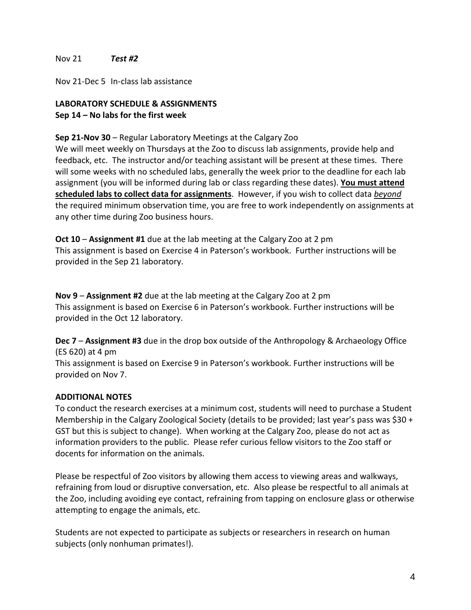### Nov 21 *Test #2*

Nov 21-Dec 5 In-class lab assistance

## **LABORATORY SCHEDULE & ASSIGNMENTS Sep 14 – No labs for the first week**

### **Sep 21-Nov 30** – Regular Laboratory Meetings at the Calgary Zoo

We will meet weekly on Thursdays at the Zoo to discuss lab assignments, provide help and feedback, etc. The instructor and/or teaching assistant will be present at these times. There will some weeks with no scheduled labs, generally the week prior to the deadline for each lab assignment (you will be informed during lab or class regarding these dates). **You must attend scheduled labs to collect data for assignments**. However, if you wish to collect data *beyond* the required minimum observation time, you are free to work independently on assignments at any other time during Zoo business hours.

**Oct 10** – **Assignment #1** due at the lab meeting at the Calgary Zoo at 2 pm This assignment is based on Exercise 4 in Paterson's workbook. Further instructions will be provided in the Sep 21 laboratory.

**Nov 9** – **Assignment #2** due at the lab meeting at the Calgary Zoo at 2 pm This assignment is based on Exercise 6 in Paterson's workbook. Further instructions will be provided in the Oct 12 laboratory.

**Dec 7** – **Assignment #3** due in the drop box outside of the Anthropology & Archaeology Office (ES 620) at 4 pm

This assignment is based on Exercise 9 in Paterson's workbook. Further instructions will be provided on Nov 7.

### **ADDITIONAL NOTES**

To conduct the research exercises at a minimum cost, students will need to purchase a Student Membership in the Calgary Zoological Society (details to be provided; last year's pass was \$30 + GST but this is subject to change). When working at the Calgary Zoo, please do not act as information providers to the public. Please refer curious fellow visitors to the Zoo staff or docents for information on the animals.

Please be respectful of Zoo visitors by allowing them access to viewing areas and walkways, refraining from loud or disruptive conversation, etc. Also please be respectful to all animals at the Zoo, including avoiding eye contact, refraining from tapping on enclosure glass or otherwise attempting to engage the animals, etc.

Students are not expected to participate as subjects or researchers in research on human subjects (only nonhuman primates!).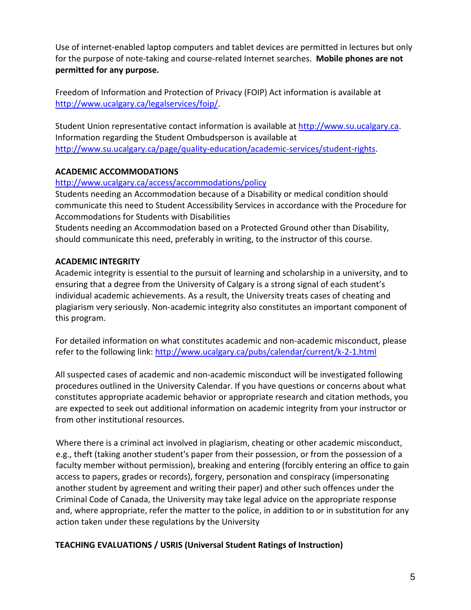Use of internet-enabled laptop computers and tablet devices are permitted in lectures but only for the purpose of note-taking and course-related Internet searches. **Mobile phones are not permitted for any purpose.**

Freedom of Information and Protection of Privacy (FOIP) Act information is available at [http://www.ucalgary.ca/legalservices/foip/.](http://www.ucalgary.ca/legalservices/foip/)

Student Union representative contact information is available at [http://www.su.ucalgary.ca.](http://www.su.ucalgary.ca/) Information regarding the Student Ombudsperson is available at [http://www.su.ucalgary.ca/page/quality-education/academic-services/student-rights.](http://www.su.ucalgary.ca/page/quality-education/academic-services/student-rights)

# **ACADEMIC ACCOMMODATIONS**

## <http://www.ucalgary.ca/access/accommodations/policy>

Students needing an Accommodation because of a Disability or medical condition should communicate this need to Student Accessibility Services in accordance with the Procedure for Accommodations for Students with Disabilities

Students needing an Accommodation based on a Protected Ground other than Disability, should communicate this need, preferably in writing, to the instructor of this course.

## **ACADEMIC INTEGRITY**

Academic integrity is essential to the pursuit of learning and scholarship in a university, and to ensuring that a degree from the University of Calgary is a strong signal of each student's individual academic achievements. As a result, the University treats cases of cheating and plagiarism very seriously. Non-academic integrity also constitutes an important component of this program.

For detailed information on what constitutes academic and non-academic misconduct, please refer to the following link:<http://www.ucalgary.ca/pubs/calendar/current/k-2-1.html>

All suspected cases of academic and non-academic misconduct will be investigated following procedures outlined in the University Calendar. If you have questions or concerns about what constitutes appropriate academic behavior or appropriate research and citation methods, you are expected to seek out additional information on academic integrity from your instructor or from other institutional resources.

Where there is a criminal act involved in plagiarism, cheating or other academic misconduct, e.g., theft (taking another student's paper from their possession, or from the possession of a faculty member without permission), breaking and entering (forcibly entering an office to gain access to papers, grades or records), forgery, personation and conspiracy (impersonating another student by agreement and writing their paper) and other such offences under the Criminal Code of Canada, the University may take legal advice on the appropriate response and, where appropriate, refer the matter to the police, in addition to or in substitution for any action taken under these regulations by the University

## **TEACHING EVALUATIONS / USRIS (Universal Student Ratings of Instruction)**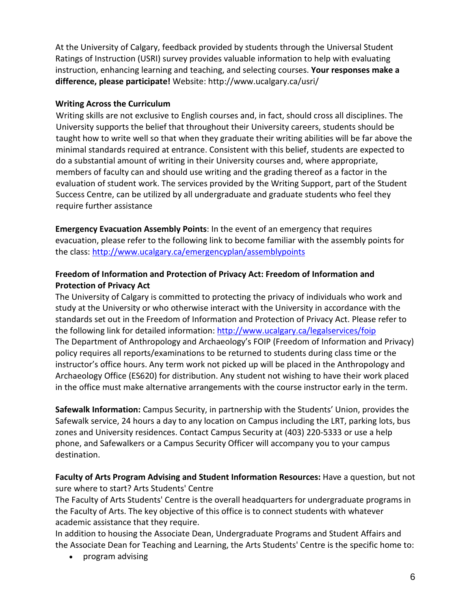At the University of Calgary, feedback provided by students through the Universal Student Ratings of Instruction (USRI) survey provides valuable information to help with evaluating instruction, enhancing learning and teaching, and selecting courses. **Your responses make a difference, please participate!** Website: http://www.ucalgary.ca/usri/

# **Writing Across the Curriculum**

Writing skills are not exclusive to English courses and, in fact, should cross all disciplines. The University supports the belief that throughout their University careers, students should be taught how to write well so that when they graduate their writing abilities will be far above the minimal standards required at entrance. Consistent with this belief, students are expected to do a substantial amount of writing in their University courses and, where appropriate, members of faculty can and should use writing and the grading thereof as a factor in the evaluation of student work. The services provided by the Writing Support, part of the Student Success Centre, can be utilized by all undergraduate and graduate students who feel they require further assistance

**Emergency Evacuation Assembly Points**: In the event of an emergency that requires evacuation, please refer to the following link to become familiar with the assembly points for the class:<http://www.ucalgary.ca/emergencyplan/assemblypoints>

## **Freedom of Information and Protection of Privacy Act: Freedom of Information and Protection of Privacy Act**

The University of Calgary is committed to protecting the privacy of individuals who work and study at the University or who otherwise interact with the University in accordance with the standards set out in the Freedom of Information and Protection of Privacy Act. Please refer to the following link for detailed information:<http://www.ucalgary.ca/legalservices/foip> The Department of Anthropology and Archaeology's FOIP (Freedom of Information and Privacy) policy requires all reports/examinations to be returned to students during class time or the instructor's office hours. Any term work not picked up will be placed in the Anthropology and Archaeology Office (ES620) for distribution. Any student not wishing to have their work placed in the office must make alternative arrangements with the course instructor early in the term.

**Safewalk Information:** Campus Security, in partnership with the Students' Union, provides the Safewalk service, 24 hours a day to any location on Campus including the LRT, parking lots, bus zones and University residences. Contact Campus Security at (403) 220-5333 or use a help phone, and Safewalkers or a Campus Security Officer will accompany you to your campus destination.

# **Faculty of Arts Program Advising and Student Information Resources:** Have a question, but not sure where to start? Arts Students' Centre

The Faculty of Arts Students' Centre is the overall headquarters for undergraduate programs in the Faculty of Arts. The key objective of this office is to connect students with whatever academic assistance that they require.

In addition to housing the Associate Dean, Undergraduate Programs and Student Affairs and the Associate Dean for Teaching and Learning, the Arts Students' Centre is the specific home to:

• program advising